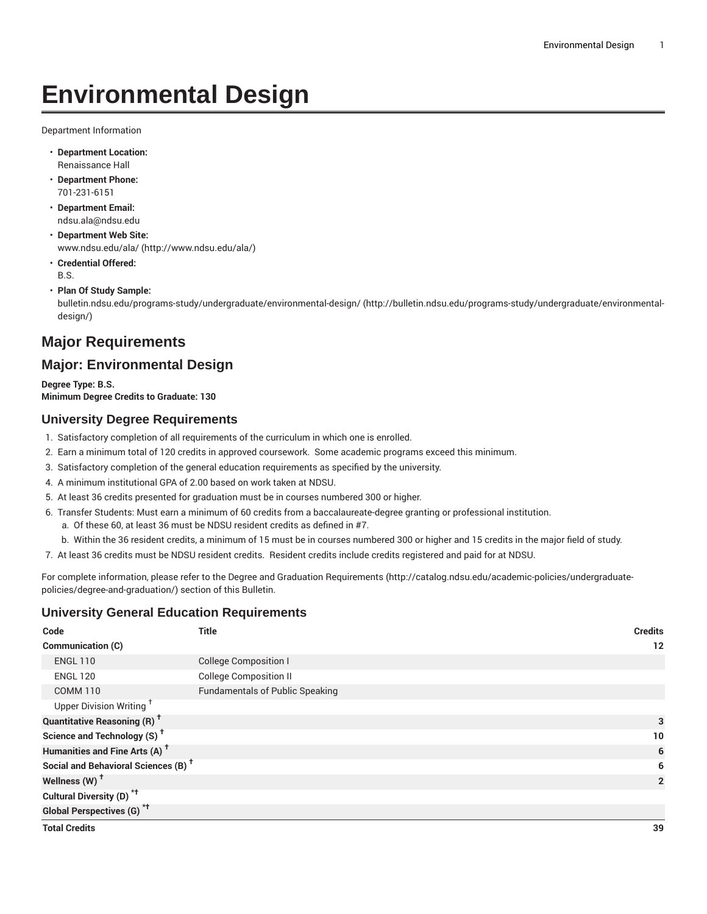# **Environmental Design**

Department Information

- **Department Location:** Renaissance Hall
- **Department Phone:** 701-231-6151
- **Department Email:** [ndsu.ala@ndsu.edu](mailto:ndsu.ala@ndsu.edu)
- **Department Web Site:** [www.ndsu.edu/ala/](http://www.ndsu.edu/ala/) [\(http://www.ndsu.edu/ala/\)](http://www.ndsu.edu/ala/)
- **Credential Offered:** B.S.
- **Plan Of Study Sample:**

[bulletin.ndsu.edu/programs-study/undergraduate/environmental-design/](http://bulletin.ndsu.edu/programs-study/undergraduate/environmental-design/) [\(http://bulletin.ndsu.edu/programs-study/undergraduate/environmental](http://bulletin.ndsu.edu/programs-study/undergraduate/environmental-design/)[design/](http://bulletin.ndsu.edu/programs-study/undergraduate/environmental-design/))

## **Major Requirements**

### **Major: Environmental Design**

**Degree Type: B.S. Minimum Degree Credits to Graduate: 130**

#### **University Degree Requirements**

- 1. Satisfactory completion of all requirements of the curriculum in which one is enrolled.
- 2. Earn a minimum total of 120 credits in approved coursework. Some academic programs exceed this minimum.
- 3. Satisfactory completion of the general education requirements as specified by the university.
- 4. A minimum institutional GPA of 2.00 based on work taken at NDSU.
- 5. At least 36 credits presented for graduation must be in courses numbered 300 or higher.
- 6. Transfer Students: Must earn a minimum of 60 credits from a baccalaureate-degree granting or professional institution. a. Of these 60, at least 36 must be NDSU resident credits as defined in #7.
	- b. Within the 36 resident credits, a minimum of 15 must be in courses numbered 300 or higher and 15 credits in the major field of study.
- 7. At least 36 credits must be NDSU resident credits. Resident credits include credits registered and paid for at NDSU.

For complete information, please refer to the Degree and Graduation [Requirements](http://catalog.ndsu.edu/academic-policies/undergraduate-policies/degree-and-graduation/) ([http://catalog.ndsu.edu/academic-policies/undergraduate](http://catalog.ndsu.edu/academic-policies/undergraduate-policies/degree-and-graduation/)[policies/degree-and-graduation/\)](http://catalog.ndsu.edu/academic-policies/undergraduate-policies/degree-and-graduation/) section of this Bulletin.

#### **University General Education Requirements**

| Code                                            | <b>Title</b>                           | <b>Credits</b> |
|-------------------------------------------------|----------------------------------------|----------------|
| Communication (C)                               |                                        | 12             |
| <b>ENGL 110</b>                                 | <b>College Composition I</b>           |                |
| <b>ENGL 120</b>                                 | <b>College Composition II</b>          |                |
| <b>COMM 110</b>                                 | <b>Fundamentals of Public Speaking</b> |                |
| Upper Division Writing <sup>+</sup>             |                                        |                |
| <b>Quantitative Reasoning (R)</b> <sup>†</sup>  |                                        | 3              |
| Science and Technology (S) <sup>+</sup>         |                                        | 10             |
| Humanities and Fine Arts (A) <sup>+</sup>       |                                        | 6              |
| Social and Behavioral Sciences (B) <sup>+</sup> |                                        | 6              |
| Wellness (W) <sup>+</sup>                       |                                        | $\overline{2}$ |
| Cultural Diversity (D) <sup>*†</sup>            |                                        |                |
| <b>Global Perspectives (G)<sup>*†</sup></b>     |                                        |                |
| <b>Total Credits</b>                            |                                        | 39             |